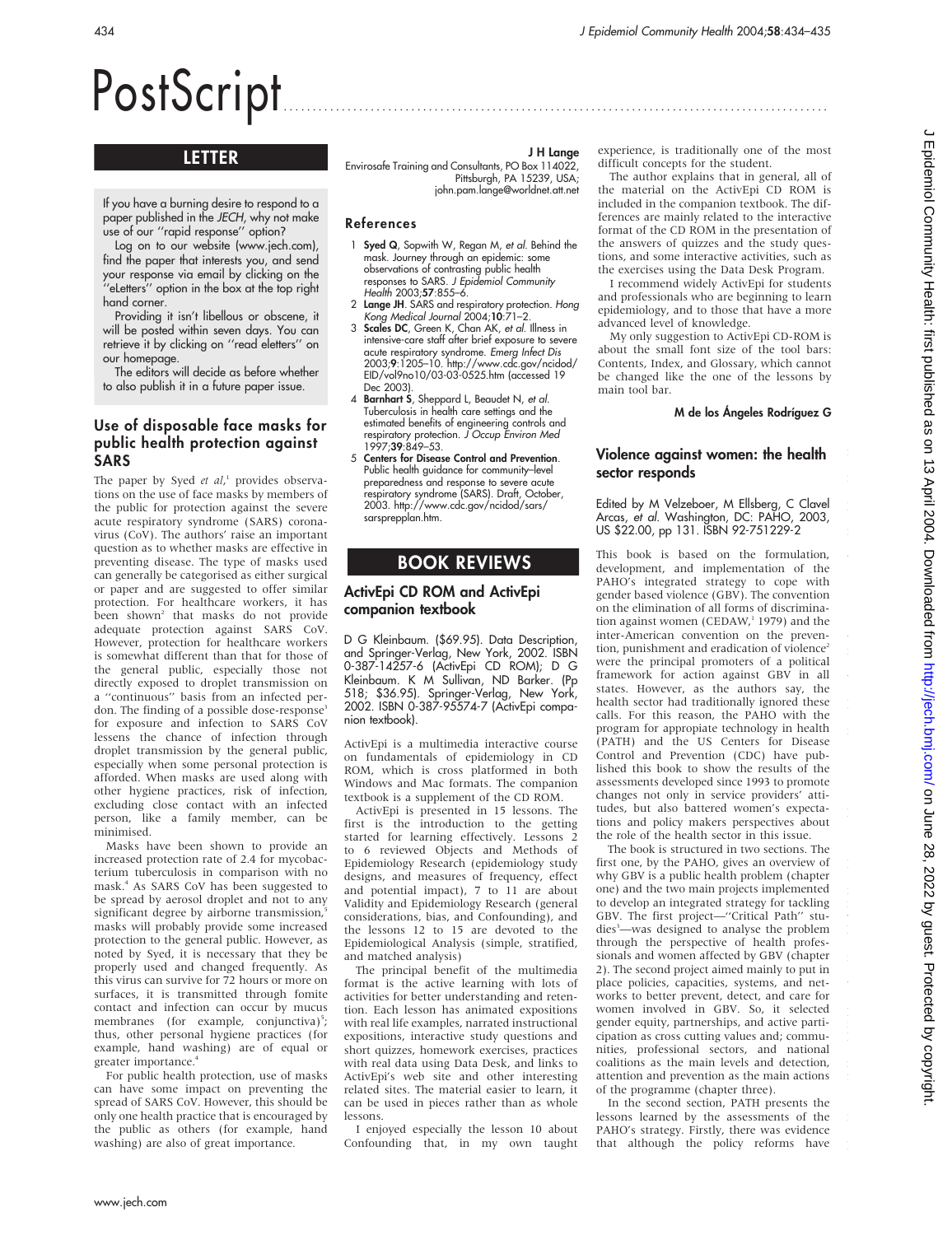# PostScript ..............................................................................................

## LETTER

If you have a burning desire to respond to a paper published in the JECH, why not make use of our ''rapid response'' option?

Log on to our website (www.jech.com), find the paper that interests you, and send your response via email by clicking on the ''eLetters'' option in the box at the top right hand corner.

Providing it isn't libellous or obscene, it will be posted within seven days. You can retrieve it by clicking on ''read eletters'' on our homepage.

The editors will decide as before whether to also publish it in a future paper issue.

### Use of disposable face masks for public health protection against SARS

The paper by Syed et al,<sup>1</sup> provides observations on the use of face masks by members of the public for protection against the severe acute respiratory syndrome (SARS) coronavirus (CoV). The authors' raise an important question as to whether masks are effective in preventing disease. The type of masks used can generally be categorised as either surgical or paper and are suggested to offer similar protection. For healthcare workers, it has been shown<sup>2</sup> that masks do not provide adequate protection against SARS CoV. However, protection for healthcare workers is somewhat different than that for those of the general public, especially those not directly exposed to droplet transmission on a ''continuous'' basis from an infected perdon. The finding of a possible dose-response<sup>3</sup> for exposure and infection to SARS CoV lessens the chance of infection through droplet transmission by the general public, especially when some personal protection is afforded. When masks are used along with other hygiene practices, risk of infection, excluding close contact with an infected person, like a family member, can be minimised.

Masks have been shown to provide an increased protection rate of 2.4 for mycobacterium tuberculosis in comparison with no mask.4 As SARS CoV has been suggested to be spread by aerosol droplet and not to any significant degree by airborne transmission, masks will probably provide some increased protection to the general public. However, as noted by Syed, it is necessary that they be properly used and changed frequently. As this virus can survive for 72 hours or more on surfaces, it is transmitted through fomite contact and infection can occur by mucus membranes (for example, conjunctiva)<sup>5</sup>; thus, other personal hygiene practices (for example, hand washing) are of equal or greater importance.4

For public health protection, use of masks can have some impact on preventing the spread of SARS CoV. However, this should be only one health practice that is encouraged by the public as others (for example, hand washing) are also of great importance.

J H Lange

Envirosafe Training and Consultants, PO Box 114022, Pittsburgh, PA 15239, USA; john.pam.lange@worldnet.att.net

#### References

- Syed Q, Sopwith W, Regan M, et al. Behind the mask. Journey through an epidemic: some observations of contrasting public health responses to SARS. J Epidemiol Community Health 2003;57:855–6.
- 2 Lange JH. SARS and respiratory protection. Hong Kong Medical Journal 2004;10:71–2.
- 3 Scales DC, Green K, Chan AK, et al. Illness in intensive-care staff after brief exposure to severe acute respiratory syndrome. Emerg Infect Dis 2003;9:1205–10. http://www.cdc.gov/ncidod/ EID/vol9no10/03-03-0525.htm (accessed 19 Dec 2003).
- 4 Barnhart S, Sheppard L, Beaudet N, et al. Tuberculosis in health care settings and the estimated benefits of engineering controls and respiratory protection. *J Occup Environ Med*<br>1997;**39**:849–53.
- 5 Centers for Disease Control and Prevention. Public health guidance for community–level preparedness and response to severe acute respiratory syndrome (SARS). Draft, October, 2003. http://www.cdc.gov/ncidod/sars/ sarsprepplan.htm.

## BOOK REVIEWS

#### ActivEpi CD ROM and ActivEpi companion textbook

D G Kleinbaum. (\$69.95). Data Description, and Springer-Verlag, New York, 2002. ISBN 0-387-14257-6 (ActivEpi CD ROM); D G Kleinbaum. K M Sullivan, ND Barker. (Pp 518; \$36.95). Springer-Verlag, New York, 2002. ISBN 0-387-95574-7 (ActivEpi companion textbook).

ActivEpi is a multimedia interactive course on fundamentals of epidemiology in CD ROM, which is cross platformed in both Windows and Mac formats. The companion textbook is a supplement of the CD ROM.

ActivEpi is presented in 15 lessons. The first is the introduction to the getting started for learning effectively. Lessons 2 to 6 reviewed Objects and Methods of Epidemiology Research (epidemiology study designs, and measures of frequency, effect and potential impact), 7 to 11 are about Validity and Epidemiology Research (general considerations, bias, and Confounding), and the lessons 12 to 15 are devoted to the Epidemiological Analysis (simple, stratified, and matched analysis)

The principal benefit of the multimedia format is the active learning with lots of activities for better understanding and retention. Each lesson has animated expositions with real life examples, narrated instructional expositions, interactive study questions and short quizzes, homework exercises, practices with real data using Data Desk, and links to ActivEpi's web site and other interesting related sites. The material easier to learn, it can be used in pieces rather than as whole lessons.

I enjoyed especially the lesson 10 about Confounding that, in my own taught

experience, is traditionally one of the most difficult concepts for the student.

The author explains that in general, all of the material on the ActivEpi CD ROM is included in the companion textbook. The differences are mainly related to the interactive format of the CD ROM in the presentation of the answers of quizzes and the study questions, and some interactive activities, such as the exercises using the Data Desk Program.

I recommend widely ActivEpi for students and professionals who are beginning to learn epidemiology, and to those that have a more advanced level of knowledge.

My only suggestion to ActivEpi CD-ROM is about the small font size of the tool bars: Contents, Index, and Glossary, which cannot be changed like the one of the lessons by main tool bar.

M de los Ángeles Rodríguez G

i i p i w

w r w h m

p

l i i v h i w p i h r i

#### Violence against women: the health sector responds

Edited by M Velzeboer, M Ellsberg, C Clavel Arcas, et al. Washington, DC: PAHO, 2003, US \$22.00, pp 131. ISBN 92-751229-2

This book is based on the formulation, development, and implementation of the PAHO's integrated strategy to cope with gender based violence (GBV). The convention on the elimination of all forms of discrimination against women (CEDAW, $1979$ ) and the inter-American convention on the prevention, punishment and eradication of violence<sup>2</sup> were the principal promoters of a political framework for action against GBV in all states. However, as the authors say, the health sector had traditionally ignored these calls. For this reason, the PAHO with the program for appropiate technology in health (PATH) and the US Centers for Disease Control and Prevention (CDC) have published this book to show the results of the assessments developed since 1993 to promote changes not only in service providers' attitudes, but also battered women's expectations and policy makers perspectives about the role of the health sector in this issue.

The book is structured in two sections. The first one, by the PAHO, gives an overview of why GBV is a public health problem (chapter one) and the two main projects implemented to develop an integrated strategy for tackling GBV. The first project—''Critical Path'' studies<sup>3</sup>—was designed to analyse the problem through the perspective of health professionals and women affected by GBV (chapter 2). The second project aimed mainly to put in place policies, capacities, systems, and networks to better prevent, detect, and care for women involved in GBV. So, it selected gender equity, partnerships, and active participation as cross cutting values and; communities, professional sectors, and national coalitions as the main levels and detection, attention and prevention as the main actions of the programme (chapter three).

In the second section, PATH presents the lessons learned by the assessments of the PAHO's strategy. Firstly, there was evidence that although the policy reforms have i p